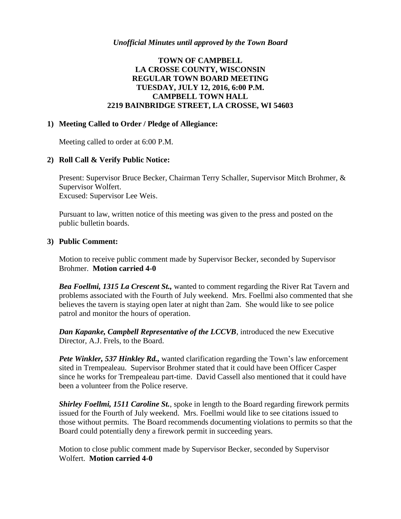# **TOWN OF CAMPBELL LA CROSSE COUNTY, WISCONSIN REGULAR TOWN BOARD MEETING TUESDAY, JULY 12, 2016, 6:00 P.M. CAMPBELL TOWN HALL 2219 BAINBRIDGE STREET, LA CROSSE, WI 54603**

## **1) Meeting Called to Order / Pledge of Allegiance:**

Meeting called to order at 6:00 P.M.

## **2) Roll Call & Verify Public Notice:**

Present: Supervisor Bruce Becker, Chairman Terry Schaller, Supervisor Mitch Brohmer, & Supervisor Wolfert. Excused: Supervisor Lee Weis.

Pursuant to law, written notice of this meeting was given to the press and posted on the public bulletin boards.

### **3) Public Comment:**

Motion to receive public comment made by Supervisor Becker, seconded by Supervisor Brohmer. **Motion carried 4-0**

*Bea Foellmi, 1315 La Crescent St.,* wanted to comment regarding the River Rat Tavern and problems associated with the Fourth of July weekend. Mrs. Foellmi also commented that she believes the tavern is staying open later at night than 2am. She would like to see police patrol and monitor the hours of operation.

*Dan Kapanke, Campbell Representative of the LCCVB*, introduced the new Executive Director, A.J. Frels, to the Board.

*Pete Winkler, 537 Hinkley Rd.,* wanted clarification regarding the Town's law enforcement sited in Trempealeau. Supervisor Brohmer stated that it could have been Officer Casper since he works for Trempealeau part-time. David Cassell also mentioned that it could have been a volunteer from the Police reserve.

*Shirley Foellmi, 1511 Caroline St.*, spoke in length to the Board regarding firework permits issued for the Fourth of July weekend. Mrs. Foellmi would like to see citations issued to those without permits. The Board recommends documenting violations to permits so that the Board could potentially deny a firework permit in succeeding years.

Motion to close public comment made by Supervisor Becker, seconded by Supervisor Wolfert. **Motion carried 4-0**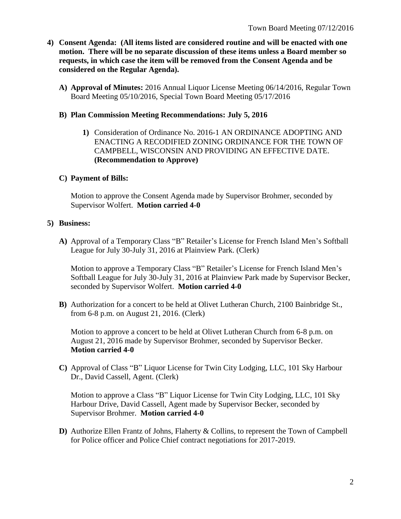- **4) Consent Agenda: (All items listed are considered routine and will be enacted with one motion. There will be no separate discussion of these items unless a Board member so requests, in which case the item will be removed from the Consent Agenda and be considered on the Regular Agenda).**
	- **A) Approval of Minutes:** 2016 Annual Liquor License Meeting 06/14/2016, Regular Town Board Meeting 05/10/2016, Special Town Board Meeting 05/17/2016

#### **B) Plan Commission Meeting Recommendations: July 5, 2016**

**1)** Consideration of Ordinance No. 2016-1 AN ORDINANCE ADOPTING AND ENACTING A RECODIFIED ZONING ORDINANCE FOR THE TOWN OF CAMPBELL, WISCONSIN AND PROVIDING AN EFFECTIVE DATE. **(Recommendation to Approve)**

### **C) Payment of Bills:**

Motion to approve the Consent Agenda made by Supervisor Brohmer, seconded by Supervisor Wolfert. **Motion carried 4-0**

### **5) Business:**

**A)** Approval of a Temporary Class "B" Retailer's License for French Island Men's Softball League for July 30-July 31, 2016 at Plainview Park. (Clerk)

Motion to approve a Temporary Class "B" Retailer's License for French Island Men's Softball League for July 30-July 31, 2016 at Plainview Park made by Supervisor Becker, seconded by Supervisor Wolfert. **Motion carried 4-0**

**B)** Authorization for a concert to be held at Olivet Lutheran Church, 2100 Bainbridge St., from 6-8 p.m. on August 21, 2016. (Clerk)

Motion to approve a concert to be held at Olivet Lutheran Church from 6-8 p.m. on August 21, 2016 made by Supervisor Brohmer, seconded by Supervisor Becker. **Motion carried 4-0**

**C)** Approval of Class "B" Liquor License for Twin City Lodging, LLC, 101 Sky Harbour Dr., David Cassell, Agent. (Clerk)

Motion to approve a Class "B" Liquor License for Twin City Lodging, LLC, 101 Sky Harbour Drive, David Cassell, Agent made by Supervisor Becker, seconded by Supervisor Brohmer. **Motion carried 4-0**

**D)** Authorize Ellen Frantz of Johns, Flaherty & Collins, to represent the Town of Campbell for Police officer and Police Chief contract negotiations for 2017-2019.